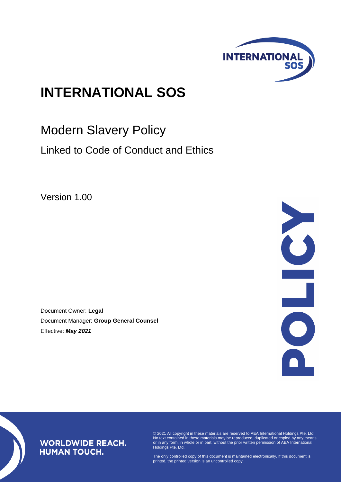

# **INTERNATIONAL SOS**

Modern Slavery Policy

Linked to Code of Conduct and Ethics

Version 1.00

Document Owner: **Legal** Document Manager: **Group General Counsel** Effective: *May 2021*



## **WORLDWIDE REACH. HUMAN TOUCH.**

© 2021 All copyright in these materials are reserved to AEA International Holdings Pte. Ltd. No text contained in these materials may be reproduced, duplicated or copied by any means or in any form, in whole or in part, without the prior written permission of AEA International Holdings Pte. Ltd.

The only controlled copy of this document is maintained electronically. If this document is printed, the printed version is an uncontrolled copy.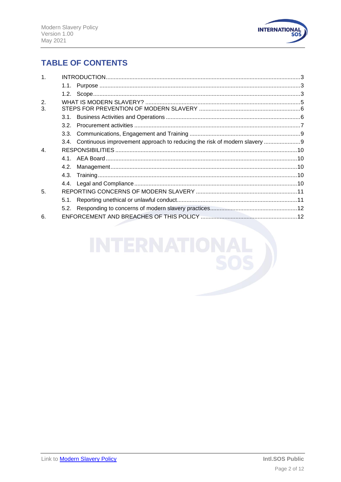

# **TABLE OF CONTENTS**

| 1 <sub>1</sub>   |      |                                                                                |  |
|------------------|------|--------------------------------------------------------------------------------|--|
|                  |      |                                                                                |  |
|                  |      |                                                                                |  |
| 2.               |      |                                                                                |  |
| 3.               |      |                                                                                |  |
|                  |      |                                                                                |  |
|                  |      |                                                                                |  |
|                  |      |                                                                                |  |
|                  |      | 3.4. Continuous improvement approach to reducing the risk of modern slavery  9 |  |
| $\overline{4}$ . |      |                                                                                |  |
|                  |      |                                                                                |  |
|                  | 4.2. |                                                                                |  |
|                  |      |                                                                                |  |
|                  |      |                                                                                |  |
| 5.               |      |                                                                                |  |
|                  |      |                                                                                |  |
|                  |      |                                                                                |  |
| 6                |      |                                                                                |  |
|                  |      |                                                                                |  |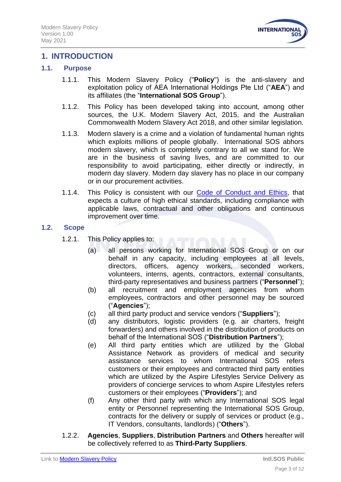

## <span id="page-2-0"></span>**1. INTRODUCTION**

#### <span id="page-2-1"></span>**1.1. Purpose**

- 1.1.1. This Modern Slavery Policy ("**Policy**") is the anti-slavery and exploitation policy of AEA International Holdings Pte Ltd ("**AEA**") and its affiliates (the "**International SOS Group**").
- 1.1.2. This Policy has been developed taking into account, among other sources, the U.K. Modern Slavery Act, 2015, and the Australian Commonwealth Modern Slavery Act 2018, and other similar legislation.
- 1.1.3. Modern slavery is a crime and a violation of fundamental human rights which exploits millions of people globally. International SOS abhors modern slavery, which is completely contrary to all we stand for. We are in the business of saving lives, and are committed to our responsibility to avoid participating, either directly or indirectly, in modern day slavery. Modern day slavery has no place in our company or in our procurement activities.
- 1.1.4. This Policy is consistent with our [Code of Conduct and Ethics,](https://www.internationalsos.com/-/media/corporate/files/documents/policies/policy_code_of_conduct_and_ethics.pdf) that expects a culture of high ethical standards, including compliance with applicable laws, contractual and other obligations and continuous improvement over time.

#### <span id="page-2-2"></span>**1.2. Scope**

- 1.2.1. This Policy applies to:
	- (a) all persons working for International SOS Group or on our behalf in any capacity, including employees at all levels, directors, officers, agency workers, seconded workers, volunteers, interns, agents, contractors, external consultants, third-party representatives and business partners ("**Personnel**");
	- (b) all recruitment and employment agencies from whom employees, contractors and other personnel may be sourced ("**Agencies**");
	- (c) all third party product and service vendors ("**Suppliers**");
	- (d) any distributors, logistic providers (e.g. air charters, freight forwarders) and others involved in the distribution of products on behalf of the International SOS ("**Distribution Partners**");
	- (e) All third party entities which are utlilized by the Global Assistance Network as providers of medical and security assistance services to whom International SOS refers customers or their employees and contracted third party entities which are utilized by the Aspire Lifestyles Service Delivery as providers of concierge services to whom Aspire Lifestyles refers customers or their employees ("**Providers**"); and
	- (f) Any other third party with which any International SOS legal entity or Personnel representing the International SOS Group, contracts for the delivery or supply of services or product (e.g., IT Vendors, consultants, landlords) ("**Others**").
- 1.2.2. **Agencies**, **Suppliers**, **Distribution Partners** and **Others** hereafter will be collectively referred to as **Third-Party Suppliers**.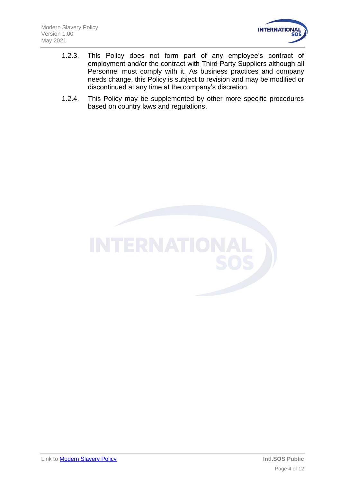

- 1.2.3. This Policy does not form part of any employee's contract of employment and/or the contract with Third Party Suppliers although all Personnel must comply with it. As business practices and company needs change, this Policy is subject to revision and may be modified or discontinued at any time at the company's discretion.
- 1.2.4. This Policy may be supplemented by other more specific procedures based on country laws and regulations.

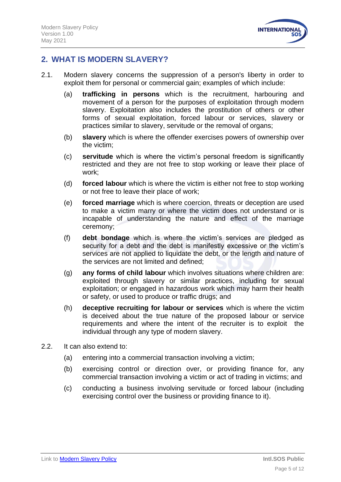

## <span id="page-4-0"></span>**2. WHAT IS MODERN SLAVERY?**

- 2.1. Modern slavery concerns the suppression of a person's liberty in order to exploit them for personal or commercial gain; examples of which include:
	- (a) **trafficking in persons** which is the recruitment, harbouring and movement of a person for the purposes of exploitation through modern slavery. Exploitation also includes the prostitution of others or other forms of sexual exploitation, forced labour or services, slavery or practices similar to slavery, servitude or the removal of organs;
	- (b) **slavery** which is where the offender exercises powers of ownership over the victim;
	- (c) **servitude** which is where the victim's personal freedom is significantly restricted and they are not free to stop working or leave their place of work;
	- (d) **forced labour** which is where the victim is either not free to stop working or not free to leave their place of work;
	- (e) **forced marriage** which is where coercion, threats or deception are used to make a victim marry or where the victim does not understand or is incapable of understanding the nature and effect of the marriage ceremony;
	- (f) **debt bondage** which is where the victim's services are pledged as security for a debt and the debt is manifestly excessive or the victim's services are not applied to liquidate the debt, or the length and nature of the services are not limited and defined;
	- (g) **any forms of child labour** which involves situations where children are: exploited through slavery or similar practices, including for sexual exploitation; or engaged in hazardous work which may harm their health or safety, or used to produce or traffic drugs; and
	- (h) **deceptive recruiting for labour or services** which is where the victim is deceived about the true nature of the proposed labour or service requirements and where the intent of the recruiter is to exploit the individual through any type of modern slavery.
- 2.2. It can also extend to:
	- (a) entering into a commercial transaction involving a victim;
	- (b) exercising control or direction over, or providing finance for, any commercial transaction involving a victim or act of trading in victims; and
	- (c) conducting a business involving servitude or forced labour (including exercising control over the business or providing finance to it).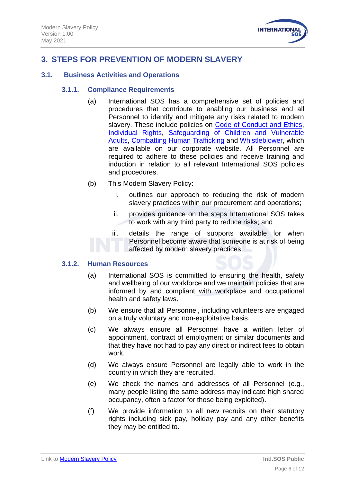

## <span id="page-5-0"></span>**3. STEPS FOR PREVENTION OF MODERN SLAVERY**

#### <span id="page-5-1"></span>**3.1. Business Activities and Operations**

#### **3.1.1. Compliance Requirements**

- (a) International SOS has a comprehensive set of policies and procedures that contribute to enabling our business and all Personnel to identify and mitigate any risks related to modern slavery. These include policies on [Code of Conduct and Ethics,](https://www.internationalsos.com/-/media/corporate/files/documents/policies/policy_code_of_conduct_and_ethics.pdf) [Individual Rights,](https://www.internationalsos.com/-/media/corporate/files/documents/policies/policy_individualrights.pdf) [Safeguarding of Children and Vulnerable](https://www.internationalsos.com/-/media/corporate/files/documents/policies/policy_safeguarding.pdf)  [Adults,](https://www.internationalsos.com/-/media/corporate/files/documents/policies/policy_safeguarding.pdf) [Combatting Human Trafficking](http://govtservices.intlsos.com/Policies%20and%20Procedures/L3-GRP-LGL-Combating_Human_Trafficking_Compliance_Procedures.pdf) and [Whistleblower,](http://legal.intlsos.com/CorporateSecurity/SecurityDocumentation/L1-CORP-LEG-WhistleBlower_Policy.pdf) which are available on our corporate website. All Personnel are required to adhere to these policies and receive training and induction in relation to all relevant International SOS policies and procedures.
- (b) This Modern Slavery Policy:
	- i. outlines our approach to reducing the risk of modern slavery practices within our procurement and operations;
	- ii. provides guidance on the steps International SOS takes to work with any third party to reduce risks; and
	- iii. details the range of supports available for when Personnel become aware that someone is at risk of being affected by modern slavery practices.

#### **3.1.2. Human Resources**

- (a) International SOS is committed to ensuring the health, safety and wellbeing of our workforce and we maintain policies that are informed by and compliant with workplace and occupational health and safety laws.
- (b) We ensure that all Personnel, including volunteers are engaged on a truly voluntary and non-exploitative basis.
- (c) We always ensure all Personnel have a written letter of appointment, contract of employment or similar documents and that they have not had to pay any direct or indirect fees to obtain work.
- (d) We always ensure Personnel are legally able to work in the country in which they are recruited.
- (e) We check the names and addresses of all Personnel (e.g., many people listing the same address may indicate high shared occupancy, often a factor for those being exploited).
- (f) We provide information to all new recruits on their statutory rights including sick pay, holiday pay and any other benefits they may be entitled to.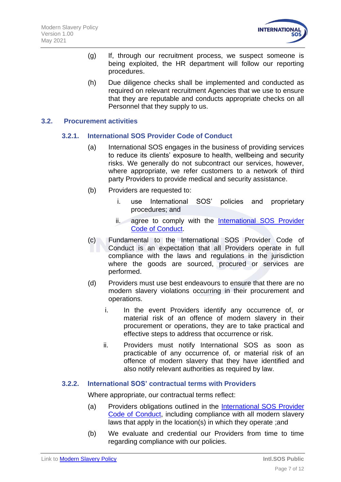

- (g) If, through our recruitment process, we suspect someone is being exploited, the HR department will follow our reporting procedures.
- (h) Due diligence checks shall be implemented and conducted as required on relevant recruitment Agencies that we use to ensure that they are reputable and conducts appropriate checks on all Personnel that they supply to us.

#### <span id="page-6-0"></span>**3.2. Procurement activities**

#### **3.2.1. International SOS Provider Code of Conduct**

- (a) International SOS engages in the business of providing services to reduce its clients' exposure to health, wellbeing and security risks. We generally do not subcontract our services, however, where appropriate, we refer customers to a network of third party Providers to provide medical and security assistance.
- (b) Providers are requested to:
	- i. use International SOS' policies and proprietary procedures; and
	- ii. agree to comply with the International SOS Provider [Code of Conduct.](https://www.internationalsos.com/-/media/corporate/files/documents/policies/provide-code-of-conduct/providers-code-of-conduct-english.pdf)
- (c) Fundamental to the International SOS Provider Code of Conduct is an expectation that all Providers operate in full compliance with the laws and regulations in the jurisdiction where the goods are sourced, procured or services are performed.
- (d) Providers must use best endeavours to ensure that there are no modern slavery violations occurring in their procurement and operations.
	- i. In the event Providers identify any occurrence of, or material risk of an offence of modern slavery in their procurement or operations, they are to take practical and effective steps to address that occurrence or risk.
	- ii. Providers must notify International SOS as soon as practicable of any occurrence of, or material risk of an offence of modern slavery that they have identified and also notify relevant authorities as required by law.

#### **3.2.2. International SOS' contractual terms with Providers**

Where appropriate, our contractual terms reflect:

- (a) Providers obligations outlined in the [International SOS Provider](https://www.internationalsos.com/-/media/corporate/files/documents/policies/provide-code-of-conduct/providers-code-of-conduct-english.pdf)  [Code of Conduct,](https://www.internationalsos.com/-/media/corporate/files/documents/policies/provide-code-of-conduct/providers-code-of-conduct-english.pdf) including compliance with all modern slavery laws that apply in the location(s) in which they operate ;and
- (b) We evaluate and credential our Providers from time to time regarding compliance with our policies.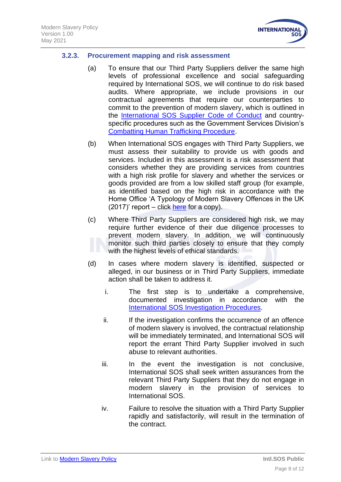

#### **3.2.3. Procurement mapping and risk assessment**

- (a) To ensure that our Third Party Suppliers deliver the same high levels of professional excellence and social safeguarding required by International SOS, we will continue to do risk based audits. Where appropriate, we include provisions in our contractual agreements that require our counterparties to commit to the prevention of modern slavery, which is outlined in the International SOS [Supplier Code of Conduct](https://www.internationalsos.com/-/media/corporate/files/documents/policies/supplier-code-of-conduct.pdf) and countryspecific procedures such as the Government Services Division's [Combatting Human Trafficking Procedure.](http://govtservices.intlsos.com/Policies%20and%20Procedures/L3-GRP-LGL-Combating_Human_Trafficking_Compliance_Procedures.pdf)
- (b) When International SOS engages with Third Party Suppliers, we must assess their suitability to provide us with goods and services. Included in this assessment is a risk assessment that considers whether they are providing services from countries with a high risk profile for slavery and whether the services or goods provided are from a low skilled staff group (for example, as identified based on the high risk in accordance with the Home Office 'A Typology of Modern Slavery Offences in the UK  $(2017)'$  report – click [here](https://assets.publishing.service.gov.uk/government/uploads/system/uploads/attachment_data/file/652652/typology-modern-slavery-offences-horr93.pdf) for a copy).
- (c) Where Third Party Suppliers are considered high risk, we may require further evidence of their due diligence processes to prevent modern slavery. In addition, we will continuously monitor such third parties closely to ensure that they comply with the highest levels of ethical standards.
- (d) In cases where modern slavery is identified, suspected or alleged, in our business or in Third Party Suppliers, immediate action shall be taken to address it.
	- i. The first step is to undertake a comprehensive, documented investigation in accordance with the [International SOS](http://legal.intlsos.com/CorporateSecurity/SecurityDocumentation/L3_CORP.LEG%20Investigations%20Procedures.pdf) Investigation Procedures.
	- ii. If the investigation confirms the occurrence of an offence of modern slavery is involved, the contractual relationship will be immediately terminated, and International SOS will report the errant Third Party Supplier involved in such abuse to relevant authorities.
	- iii. In the event the investigation is not conclusive, International SOS shall seek written assurances from the relevant Third Party Suppliers that they do not engage in modern slavery in the provision of services to International SOS.
	- iv. Failure to resolve the situation with a Third Party Supplier rapidly and satisfactorily, will result in the termination of the contract.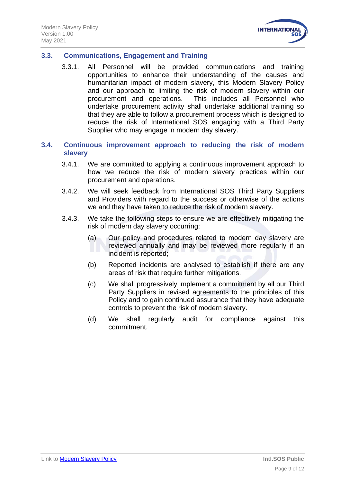

#### <span id="page-8-0"></span>**3.3. Communications, Engagement and Training**

- 3.3.1. All Personnel will be provided communications and training opportunities to enhance their understanding of the causes and humanitarian impact of modern slavery, this Modern Slavery Policy and our approach to limiting the risk of modern slavery within our procurement and operations. This includes all Personnel who undertake procurement activity shall undertake additional training so that they are able to follow a procurement process which is designed to reduce the risk of International SOS engaging with a Third Party Supplier who may engage in modern day slavery.
- <span id="page-8-1"></span>**3.4. Continuous improvement approach to reducing the risk of modern slavery**
	- 3.4.1. We are committed to applying a continuous improvement approach to how we reduce the risk of modern slavery practices within our procurement and operations.
	- 3.4.2. We will seek feedback from International SOS Third Party Suppliers and Providers with regard to the success or otherwise of the actions we and they have taken to reduce the risk of modern slavery.
	- 3.4.3. We take the following steps to ensure we are effectively mitigating the risk of modern day slavery occurring:
		- (a) Our policy and procedures related to modern day slavery are reviewed annually and may be reviewed more regularly if an incident is reported;
		- (b) Reported incidents are analysed to establish if there are any areas of risk that require further mitigations.
		- (c) We shall progressively implement a commitment by all our Third Party Suppliers in revised agreements to the principles of this Policy and to gain continued assurance that they have adequate controls to prevent the risk of modern slavery.
		- (d) We shall regularly audit for compliance against this commitment.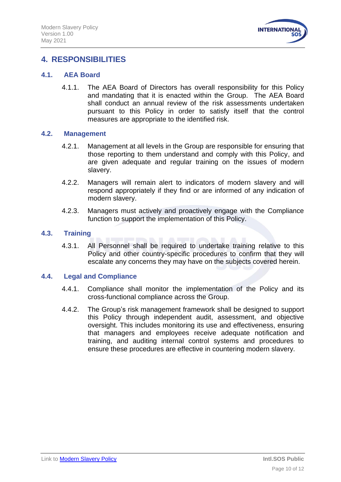

## <span id="page-9-0"></span>**4. RESPONSIBILITIES**

#### <span id="page-9-1"></span>**4.1. AEA Board**

4.1.1. The AEA Board of Directors has overall responsibility for this Policy and mandating that it is enacted within the Group. The AEA Board shall conduct an annual review of the risk assessments undertaken pursuant to this Policy in order to satisfy itself that the control measures are appropriate to the identified risk.

#### <span id="page-9-2"></span>**4.2. Management**

- 4.2.1. Management at all levels in the Group are responsible for ensuring that those reporting to them understand and comply with this Policy, and are given adequate and regular training on the issues of modern slavery.
- 4.2.2. Managers will remain alert to indicators of modern slavery and will respond appropriately if they find or are informed of any indication of modern slavery.
- 4.2.3. Managers must actively and proactively engage with the Compliance function to support the implementation of this Policy.

#### <span id="page-9-3"></span>**4.3. Training**

4.3.1. All Personnel shall be required to undertake training relative to this Policy and other country-specific procedures to confirm that they will escalate any concerns they may have on the subjects covered herein.

#### <span id="page-9-4"></span>**4.4. Legal and Compliance**

- 4.4.1. Compliance shall monitor the implementation of the Policy and its cross-functional compliance across the Group.
- 4.4.2. The Group's risk management framework shall be designed to support this Policy through independent audit, assessment, and objective oversight. This includes monitoring its use and effectiveness, ensuring that managers and employees receive adequate notification and training, and auditing internal control systems and procedures to ensure these procedures are effective in countering modern slavery.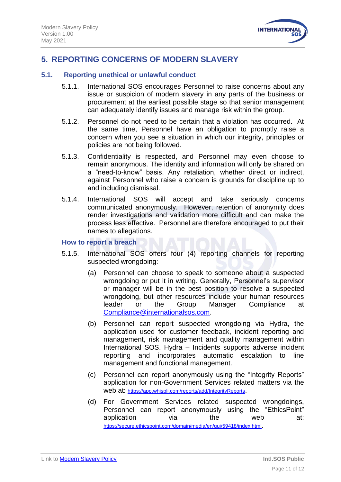

## <span id="page-10-0"></span>**5. REPORTING CONCERNS OF MODERN SLAVERY**

#### <span id="page-10-1"></span>**5.1. Reporting unethical or unlawful conduct**

- 5.1.1. International SOS encourages Personnel to raise concerns about any issue or suspicion of modern slavery in any parts of the business or procurement at the earliest possible stage so that senior management can adequately identify issues and manage risk within the group.
- 5.1.2. Personnel do not need to be certain that a violation has occurred. At the same time, Personnel have an obligation to promptly raise a concern when you see a situation in which our integrity, principles or policies are not being followed.
- 5.1.3. Confidentiality is respected, and Personnel may even choose to remain anonymous. The identity and information will only be shared on a "need-to-know" basis. Any retaliation, whether direct or indirect, against Personnel who raise a concern is grounds for discipline up to and including dismissal.
- 5.1.4. International SOS will accept and take seriously concerns communicated anonymously. However, retention of anonymity does render investigations and validation more difficult and can make the process less effective. Personnel are therefore encouraged to put their names to allegations.

#### **How to report a breach**

- 5.1.5. International SOS offers four (4) reporting channels for reporting suspected wrongdoing:
	- (a) Personnel can choose to speak to someone about a suspected wrongdoing or put it in writing. Generally, Personnel's supervisor or manager will be in the best position to resolve a suspected wrongdoing, but other resources include your human resources leader or the Group Manager Compliance at [Compliance@internationalsos.com.](mailto:Compliance@internationalsos.com)
	- (b) Personnel can report suspected wrongdoing via Hydra, the application used for customer feedback, incident reporting and management, risk management and quality management within International SOS. Hydra – Incidents supports adverse incident reporting and incorporates automatic escalation to line management and functional management.
	- (c) Personnel can report anonymously using the "Integrity Reports" application for non-Government Services related matters via the web at: <https://app.whispli.com/reports/add/IntegrityReports>.
	- (d) For Government Services related suspected wrongdoings, Personnel can report anonymously using the "EthicsPoint" application via the web at: <https://secure.ethicspoint.com/domain/media/en/gui/59418/index.html>.